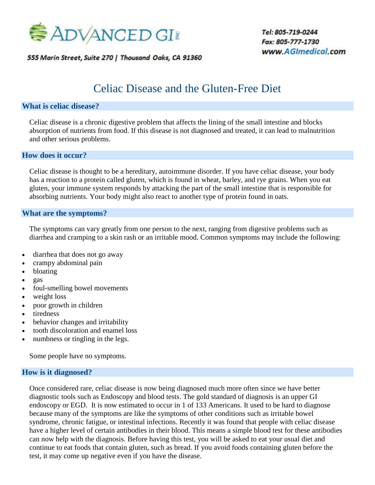

555 Marin Street, Suite 270 | Thousand Oaks, CA 91360

Tel: 805-719-0244 *2220 Lynn Road, Suite 303 Thousand Oaks, CA 91360*  $www.AG/medical.com$ 

# Celiac Disease and the Gluten-Free Diet

#### **What is celiac disease?**

Celiac disease is a chronic digestive problem that affects the lining of the small intestine and blocks absorption of nutrients from food. If this disease is not diagnosed and treated, it can lead to malnutrition and other serious problems.

#### **How does it occur?**

Celiac disease is thought to be a hereditary, autoimmune disorder. If you have celiac disease, your body has a reaction to a protein called gluten, which is found in wheat, barley, and rye grains. When you eat gluten, your immune system responds by attacking the part of the small intestine that is responsible for absorbing nutrients. Your body might also react to another type of protein found in oats.

#### **What are the symptoms?**

The symptoms can vary greatly from one person to the next, ranging from digestive problems such as diarrhea and cramping to a skin rash or an irritable mood. Common symptoms may include the following:

- diarrhea that does not go away
- crampy abdominal pain
- bloating
- gas
- foul-smelling bowel movements
- weight loss
- poor growth in children
- tiredness
- behavior changes and irritability
- tooth discoloration and enamel loss
- numbness or tingling in the legs.

Some people have no symptoms.

#### **How is it diagnosed?**

Once considered rare, celiac disease is now being diagnosed much more often since we have better diagnostic tools such as Endoscopy and blood tests. The gold standard of diagnosis is an upper GI endoscopy or EGD. It is now estimated to occur in 1 of 133 Americans. It used to be hard to diagnose because many of the symptoms are like the symptoms of other conditions such as irritable bowel syndrome, chronic fatigue, or intestinal infections. Recently it was found that people with celiac disease have a higher level of certain antibodies in their blood. This means a simple blood test for these antibodies can now help with the diagnosis. Before having this test, you will be asked to eat your usual diet and continue to eat foods that contain gluten, such as bread. If you avoid foods containing gluten before the test, it may come up negative even if you have the disease.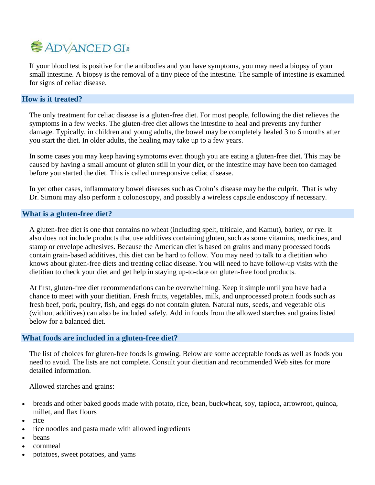# **ADVANCED GI**

If your blood test is positive for the antibodies and you have symptoms, you may need a biopsy of your small intestine. A biopsy is the removal of a tiny piece of the intestine. The sample of intestine is examined for signs of celiac disease.

## **How is it treated?**

The only treatment for celiac disease is a gluten-free diet. For most people, following the diet relieves the symptoms in a few weeks. The gluten-free diet allows the intestine to heal and prevents any further damage. Typically, in children and young adults, the bowel may be completely healed 3 to 6 months after you start the diet. In older adults, the healing may take up to a few years.

In some cases you may keep having symptoms even though you are eating a gluten-free diet. This may be caused by having a small amount of gluten still in your diet, or the intestine may have been too damaged before you started the diet. This is called unresponsive celiac disease.

In yet other cases, inflammatory bowel diseases such as Crohn's disease may be the culprit. That is why Dr. Simoni may also perform a colonoscopy, and possibly a wireless capsule endoscopy if necessary.

#### **What is a gluten-free diet?**

A gluten-free diet is one that contains no wheat (including spelt, triticale, and Kamut), barley, or rye. It also does not include products that use additives containing gluten, such as some vitamins, medicines, and stamp or envelope adhesives. Because the American diet is based on grains and many processed foods contain grain-based additives, this diet can be hard to follow. You may need to talk to a dietitian who knows about gluten-free diets and treating celiac disease. You will need to have follow-up visits with the dietitian to check your diet and get help in staying up-to-date on gluten-free food products.

At first, gluten-free diet recommendations can be overwhelming. Keep it simple until you have had a chance to meet with your dietitian. Fresh fruits, vegetables, milk, and unprocessed protein foods such as fresh beef, pork, poultry, fish, and eggs do not contain gluten. Natural nuts, seeds, and vegetable oils (without additives) can also be included safely. Add in foods from the allowed starches and grains listed below for a balanced diet.

#### **What foods are included in a gluten-free diet?**

The list of choices for gluten-free foods is growing. Below are some acceptable foods as well as foods you need to avoid. The lists are not complete. Consult your dietitian and recommended Web sites for more detailed information.

Allowed starches and grains:

- breads and other baked goods made with potato, rice, bean, buckwheat, soy, tapioca, arrowroot, quinoa, millet, and flax flours
- rice
- rice noodles and pasta made with allowed ingredients
- **heans**
- cornmeal
- potatoes, sweet potatoes, and yams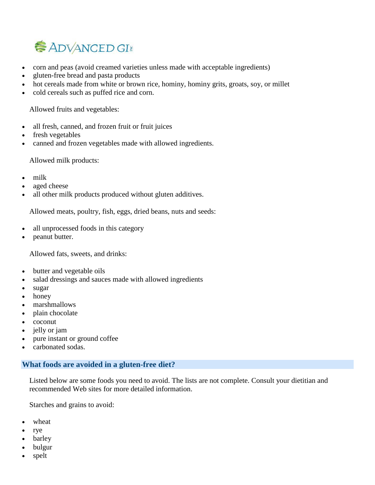

- corn and peas (avoid creamed varieties unless made with acceptable ingredients)
- gluten-free bread and pasta products
- hot cereals made from white or brown rice, hominy, hominy grits, groats, soy, or millet
- cold cereals such as puffed rice and corn.

Allowed fruits and vegetables:

- all fresh, canned, and frozen fruit or fruit juices
- fresh vegetables
- canned and frozen vegetables made with allowed ingredients.

Allowed milk products:

- milk
- aged cheese
- all other milk products produced without gluten additives.

Allowed meats, poultry, fish, eggs, dried beans, nuts and seeds:

- all unprocessed foods in this category
- peanut butter.

Allowed fats, sweets, and drinks:

- butter and vegetable oils
- salad dressings and sauces made with allowed ingredients
- sugar
- honey
- marshmallows
- plain chocolate
- coconut
- jelly or jam
- pure instant or ground coffee
- carbonated sodas.

# **What foods are avoided in a gluten-free diet?**

Listed below are some foods you need to avoid. The lists are not complete. Consult your dietitian and recommended Web sites for more detailed information.

Starches and grains to avoid:

- wheat
- rye
- **barley**
- bulgur
- spelt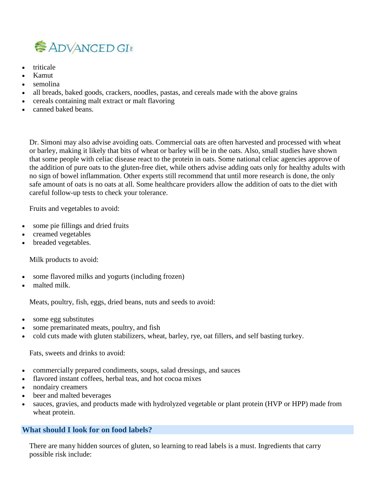

- triticale
- Kamut
- semolina
- all breads, baked goods, crackers, noodles, pastas, and cereals made with the above grains
- cereals containing malt extract or malt flavoring
- canned baked beans.

Dr. Simoni may also advise avoiding oats. Commercial oats are often harvested and processed with wheat or barley, making it likely that bits of wheat or barley will be in the oats. Also, small studies have shown that some people with celiac disease react to the protein in oats. Some national celiac agencies approve of the addition of pure oats to the gluten-free diet, while others advise adding oats only for healthy adults with no sign of bowel inflammation. Other experts still recommend that until more research is done, the only safe amount of oats is no oats at all. Some healthcare providers allow the addition of oats to the diet with careful follow-up tests to check your tolerance.

Fruits and vegetables to avoid:

- some pie fillings and dried fruits
- creamed vegetables
- breaded vegetables.

Milk products to avoid:

- some flavored milks and yogurts (including frozen)
- malted milk.

Meats, poultry, fish, eggs, dried beans, nuts and seeds to avoid:

- some egg substitutes
- some premarinated meats, poultry, and fish
- cold cuts made with gluten stabilizers, wheat, barley, rye, oat fillers, and self basting turkey.

Fats, sweets and drinks to avoid:

- commercially prepared condiments, soups, salad dressings, and sauces
- flavored instant coffees, herbal teas, and hot cocoa mixes
- nondairy creamers
- beer and malted beverages
- sauces, gravies, and products made with hydrolyzed vegetable or plant protein (HVP or HPP) made from wheat protein.

# **What should I look for on food labels?**

There are many hidden sources of gluten, so learning to read labels is a must. Ingredients that carry possible risk include: